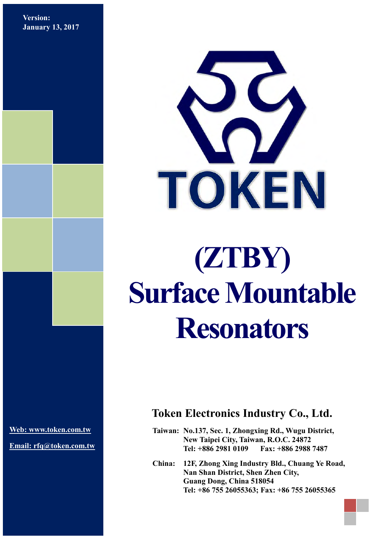**Version: January 13, 2017**



# **(ZTBY) Surface Mountable Resonators**

**[Web: www.token.com.tw](http://www.token.com.tw/)**

**Email: rfq@token.com.tw**

## **Token Electronics Industry Co., Ltd.**

**Taiwan: No.137, Sec. 1, Zhongxing Rd., Wugu District, New Taipei City, Taiwan, R.O.C. 24872 Tel: +886 2981 0109 Fax: +886 2988 7487**

**China: 12F, Zhong Xing Industry Bld., Chuang Ye Road, Nan Shan District, Shen Zhen City, Guang Dong, China 518054 Tel: +86 755 26055363; Fax: +86 755 26055365**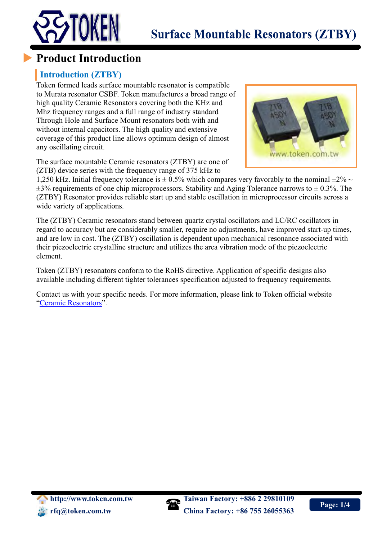



# **Product Introduction**

## **Introduction (ZTBY)**

Token formed leads surface mountable resonator is compatible to Murata resonator CSBF. Token manufactures a broad range of high quality Ceramic Resonators covering both the KHz and Mhz frequency ranges and a full range of industry standard Through Hole and Surface Mount resonators both with and without internal capacitors. The high quality and extensive coverage of this product line allows optimum design of almost any oscillating circuit.

The surface mountable Ceramic resonators (ZTBY) are one of (ZTB) device series with the frequency range of 375 kHz to



1,250 kHz. Initial frequency tolerance is  $\pm$  0.5% which compares very favorably to the nominal  $\pm$ 2%  $\sim$  $\pm$ 3% requirements of one chip microprocessors. Stability and Aging Tolerance narrows to  $\pm$  0.3%. The (ZTBY) Resonator provides reliable start up and stable oscillation in microprocessor circuits across a wide variety of applications.

The (ZTBY) Ceramic resonators stand between quartz crystal oscillators and LC/RC oscillators in regard to accuracy but are considerably smaller, require no adjustments, have improved start-up times, and are low in cost. The (ZTBY) oscillation is dependent upon mechanical resonance associated with their piezoelectric crystalline structure and utilizes the area vibration mode of the piezoelectric element.

Token (ZTBY) resonators conform to the RoHS directive. Application of specific designs also available including different tighter tolerances specification adjusted to frequency requirements.

Contact us with your specific needs. For more information, please link to Token official website "[Ceramic Resonators](http://www.token.com.tw/resonator/index.html)".

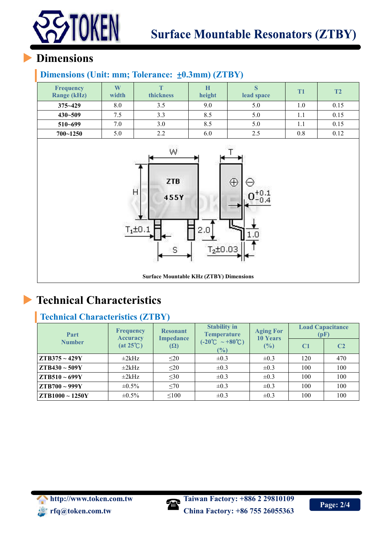

# **Dimensions**

## **Dimensions (Unit: mm; Tolerance:** ±**0.3mm) (ZTBY)**

| <b>Frequency</b><br><b>Range (kHz)</b> | W<br>width | <b>thickness</b> | H<br>height | lead space | <b>T1</b> | T2   |
|----------------------------------------|------------|------------------|-------------|------------|-----------|------|
| $375 - 429$                            | 8.0        | 3.5              | 9.0         | 5.0        | 1.0       | 0.15 |
| $430 - 509$                            | 7.5        | 3.3              | 8.5         | 5.0        |           | 0.15 |
| $510 - 699$                            | 7.0        | 3.0              | 8.5         | 5.0        |           | 0.15 |
| $700 - 1250$                           | 5.0        | 2.2              | 6.0         | 2.5        | 0.8       | 0.12 |



**Surface Mountable KHz (ZTBY) Dimensions**

# **Technical Characteristics**

## **Technical Characteristics (ZTBY)**

| Part                    | <b>Frequency</b><br><b>Accuracy</b> | <b>Resonant</b><br><b>Impedance</b><br>$(\Omega)$ | <b>Stability in</b><br><b>Temperature</b>               | <b>Aging For</b><br><b>10 Years</b><br>(%) | <b>Load Capacitance</b><br>(pF) |                |
|-------------------------|-------------------------------------|---------------------------------------------------|---------------------------------------------------------|--------------------------------------------|---------------------------------|----------------|
| <b>Number</b>           | $(at 25^{\circ}C)$                  |                                                   | $(-20^{\circ}\text{C} \sim +80^{\circ}\text{C})$<br>(%) |                                            | C <sub>1</sub>                  | C <sub>2</sub> |
| $ZTB375 \sim 429Y$      | $\pm 2$ kHz                         | $\leq$ 20                                         | $\pm 0.3$                                               | $\pm 0.3$                                  | 120                             | 470            |
| $ZTB430 \sim 509Y$      | $\pm 2$ kHz                         | $\leq$ 20                                         | $\pm 0.3$                                               | $\pm 0.3$                                  | 100                             | 100            |
| $ZTB510 \sim 699Y$      | $\pm 2k$ Hz                         | $\leq 30$                                         | $\pm 0.3$                                               | $\pm 0.3$                                  | 100                             | 100            |
| $ZTB700 \sim 999Y$      | $\pm 0.5\%$                         | $\leq 70$                                         | $\pm 0.3$                                               | $\pm 0.3$                                  | 100                             | 100            |
| $\vert$ ZTB1000 ~ 1250Y | $\pm 0.5\%$                         | $\leq 100$                                        | $\pm 0.3$                                               | $\pm 0.3$                                  | 100                             | 100            |

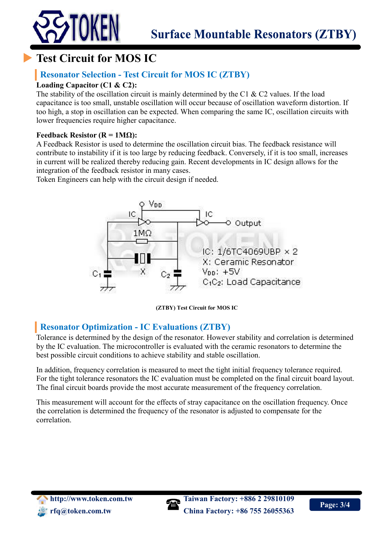



## **Resonator Selection - Test Circuit for MOS IC (ZTBY)**

#### **Loading Capacitor (C1 & C2):**

The stability of the oscillation circuit is mainly determined by the C1  $\&$  C2 values. If the load capacitance is too small, unstable oscillation will occur because of oscillation waveform distortion. If too high, a stop in oscillation can be expected. When comparing the same IC, oscillation circuits with lower frequencies require higher capacitance.

#### **Feedback Resistor (** $R = 1MΩ$ **):**

A Feedback Resistor is used to determine the oscillation circuit bias. The feedback resistance will contribute to instability if it is too large by reducing feedback. Conversely, if it is too small, increases in current will be realized thereby reducing gain. Recent developments in IC design allows for the integration of the feedback resistor in many cases.

Token Engineers can help with the circuit design if needed.



**(ZTBY) Test Circuit for MOS IC**

## **Resonator Optimization - IC Evaluations (ZTBY)**

Tolerance is determined by the design of the resonator. However stability and correlation is determined by the IC evaluation. The microcontroller is evaluated with the ceramic resonators to determine the best possible circuit conditions to achieve stability and stable oscillation.

In addition, frequency correlation is measured to meet the tight initial frequency tolerance required. For the tight tolerance resonators the IC evaluation must be completed on the final circuit board layout. The final circuit boards provide the most accurate measurement of the frequency correlation.

This measurement will account for the effects of stray capacitance on the oscillation frequency. Once the correlation is determined the frequency of the resonator is adjusted to compensate for the correlation.